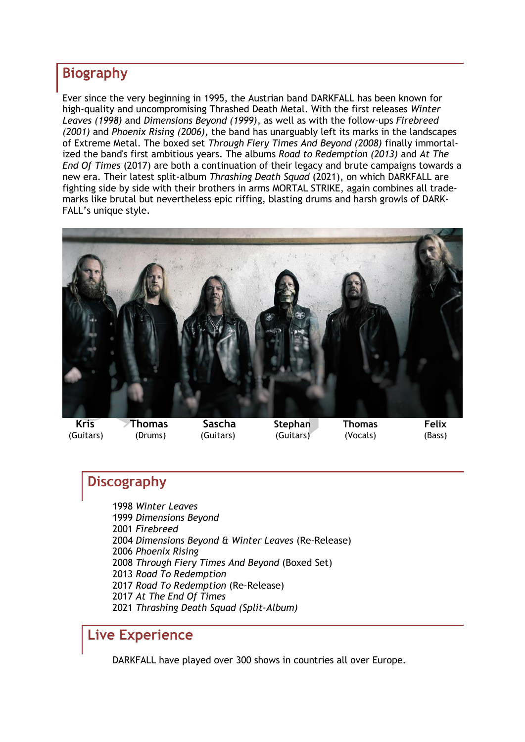### **Biography**

Ever since the very beginning in 1995, the Austrian band DARKFALL has been known for high-quality and uncompromising Thrashed Death Metal. With the first releases *Winter Leaves (1998)* and *Dimensions Beyond (1999)*, as well as with the follow-ups *Firebreed (2001)* and *Phoenix Rising (2006),* the band has unarguably left its marks in the landscapes of Extreme Metal. The boxed set *Through Fiery Times And Beyond (2008)* finally immortalized the band's first ambitious years. The albums *Road to Redemption (2013)* and *At The End Of Times* (2017) are both a continuation of their legacy and brute campaigns towards a new era. Their latest split-album *Thrashing Death Squad* (2021), on which DARKFALL are fighting side by side with their brothers in arms MORTAL STRIKE, again combines all trademarks like brutal but nevertheless epic riffing, blasting drums and harsh growls of DARK-FALL's unique style.



# **Discography**

*Winter Leaves Dimensions Beyond Firebreed Dimensions Beyond & Winter Leaves* (Re-Release) *Phoenix Rising Through Fiery Times And Beyond* (Boxed Set) *Road To Redemption Road To Redemption* (Re-Release) *At The End Of Times Thrashing Death Squad (Split-Album)*

# **Live Experience**

DARKFALL have played over 300 shows in countries all over Europe.